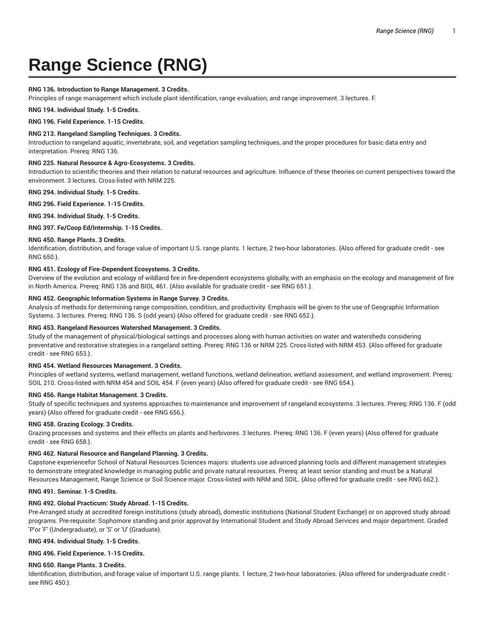# **Range Science (RNG)**

# **RNG 136. Introduction to Range Management. 3 Credits.**

Principles of range management which include plant identification, range evaluation, and range improvement. 3 lectures. F.

**RNG 194. Individual Study. 1-5 Credits.**

**RNG 196. Field Experience. 1-15 Credits.**

# **RNG 213. Rangeland Sampling Techniques. 3 Credits.**

Introduction to rangeland aquatic, invertebrate, soil, and vegetation sampling techniques, and the proper procedures for basic data entry and interpretation. Prereq: RNG 136.

# **RNG 225. Natural Resource & Agro-Ecosystems. 3 Credits.**

Introduction to scientific theories and their relation to natural resources and agriculture. Influence of these theories on current perspectives toward the environment. 3 lectures. Cross-listed with NRM 225.

**RNG 294. Individual Study. 1-5 Credits.**

**RNG 296. Field Experience. 1-15 Credits.**

**RNG 394. Individual Study. 1-5 Credits.**

# **RNG 397. Fe/Coop Ed/Internship. 1-15 Credits.**

# **RNG 450. Range Plants. 3 Credits.**

Identification, distribution, and forage value of important U.S. range plants. 1 lecture, 2 two-hour laboratories. {Also offered for graduate credit - see RNG 650.}.

# **RNG 451. Ecology of Fire-Dependent Ecosystems. 3 Credits.**

Overview of the evolution and ecology of wildland fire in fire-dependent ecosystems globally, with an emphasis on the ecology and management of fire in North America. Prereq: RNG 136 and BIOL 461. {Also available for graduate credit - see RNG 651.}.

# **RNG 452. Geographic Information Systems in Range Survey. 3 Credits.**

Analysis of methods for determining range composition, condition, and productivity. Emphasis will be given to the use of Geographic Information Systems. 3 lectures. Prereq: RNG 136. S (odd years) {Also offered for graduate credit - see RNG 652.}.

# **RNG 453. Rangeland Resources Watershed Management. 3 Credits.**

Study of the management of physical/biological settings and processes along with human activities on water and watersheds considering preventative and restorative strategies in a rangeland setting. Prereq: RNG 136 or NRM 225. Cross-listed with NRM 453. {Also offered for graduate credit - see RNG 653.}.

# **RNG 454. Wetland Resources Management. 3 Credits.**

Principles of wetland systems, wetland management, wetland functions, wetland delineation, wetland assessment, and wetland improvement. Prereq: SOIL 210. Cross-listed with NRM 454 and SOIL 454. F (even years) {Also offered for graduate credit - see RNG 654.}.

# **RNG 456. Range Habitat Management. 3 Credits.**

Study of specific techniques and systems approaches to maintenance and improvement of rangeland ecosystems. 3 lectures. Prereq: RNG 136. F (odd years) {Also offered for graduate credit - see RNG 656.}.

# **RNG 458. Grazing Ecology. 3 Credits.**

Grazing processes and systems and their effects on plants and herbivores. 3 lectures. Prereq: RNG 136. F (even years) {Also offered for graduate credit - see RNG 658.}.

# **RNG 462. Natural Resource and Rangeland Planning. 3 Credits.**

Capstone experiencefor School of Natural Resources Sciences majors: students use advanced planning tools and different management strategies to demonstrate integrated knowledge in managing public and private natural resources. Prereq: at least senior standing and must be a Natural Resources Management, Range Science or Soil Science major. Cross-listed with NRM and SOIL. {Also offered for graduate credit - see RNG 662.}.

# **RNG 491. Seminar. 1-5 Credits.**

# **RNG 492. Global Practicum: Study Abroad. 1-15 Credits.**

Pre-Arranged study at accredited foreign institutions (study abroad), domestic institutions (National Student Exchange) or on approved study abroad programs. Pre-requisite: Sophomore standing and prior approval by International Student and Study Abroad Services and major department. Graded 'P'or 'F' (Undergraduate), or 'S' or 'U' (Graduate).

# **RNG 494. Individual Study. 1-5 Credits.**

# **RNG 496. Field Experience. 1-15 Credits.**

# **RNG 650. Range Plants. 3 Credits.**

Identification, distribution, and forage value of important U.S. range plants. 1 lecture, 2 two-hour laboratories. {Also offered for undergraduate credit see RNG 450.}.